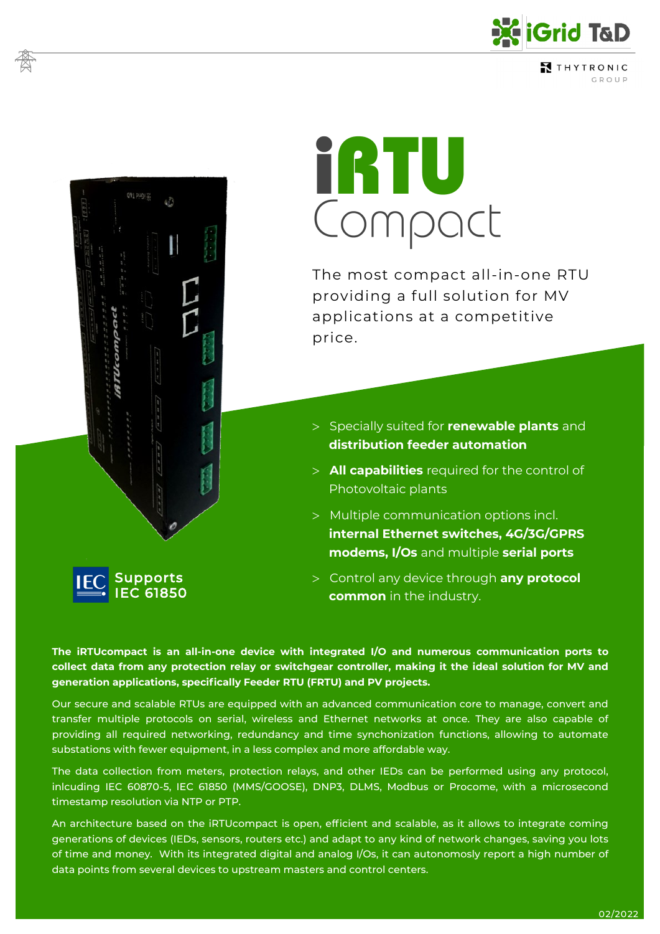

THYTRONIC GROUP

# ERTU<br>Compoct

The most compact all-in-one RTU providing a full solution for MV applications at a competitive price.

- Specially suited for **renewable plants** and **distribution feeder automation**
- **All capabilities** required for the control of Photovoltaic plants
- Multiple communication options incl. **internal Ethernet switches, 4G/3G/GPRS modems, I/Os** and multiple **serial ports**
- Control any device through **any protocol common** in the industry.

**The iRTUcompact is an all-in-one device with integrated I/O and numerous communication ports to collect data from any protection relay or switchgear controller, making it the ideal solution for MV and generation applications, specifically Feeder RTU (FRTU) and PV projects.**

Supports IEC 61850

Our secure and scalable RTUs are equipped with an advanced communication core to manage, convert and transfer multiple protocols on serial, wireless and Ethernet networks at once. They are also capable of providing all required networking, redundancy and time synchonization functions, allowing to automate substations with fewer equipment, in a less complex and more affordable way.

The data collection from meters, protection relays, and other IEDs can be performed using any protocol, inlcuding IEC 60870-5, IEC 61850 (MMS/GOOSE), DNP3, DLMS, Modbus or Procome, with a microsecond timestamp resolution via NTP or PTP.

An architecture based on the iRTUcompact is open, efficient and scalable, as it allows to integrate coming generations of devices (IEDs, sensors, routers etc.) and adapt to any kind of network changes, saving you lots of time and money. With its integrated digital and analog I/Os, it can autonomosly report a high number of data points from several devices to upstream masters and control centers.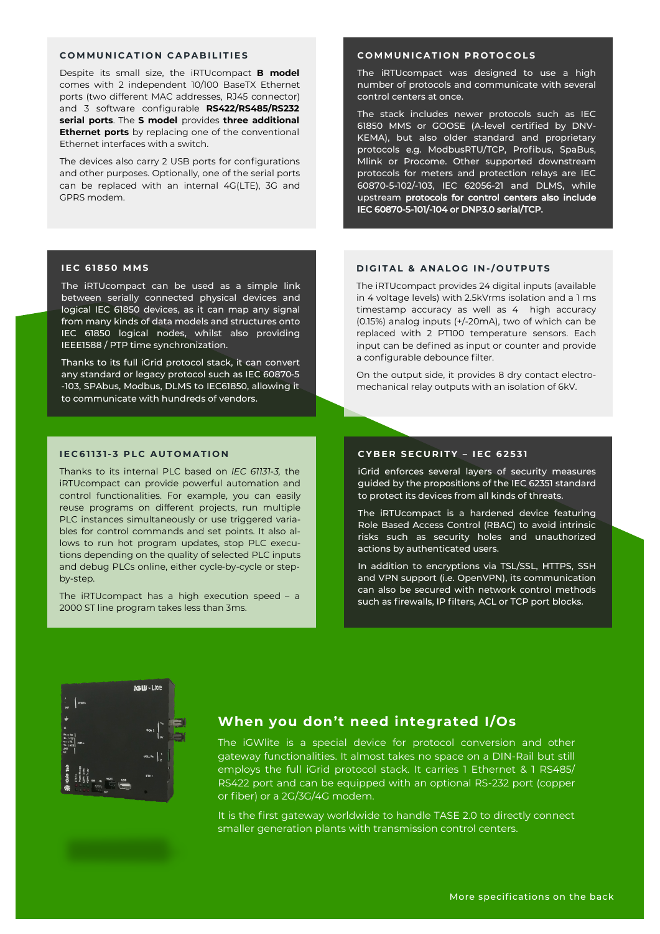#### COMMUNICATION CAPARILITIES

Despite its small size, the iRTUcompact **B model**  comes with 2 independent 10/100 BaseTX Ethernet ports (two different MAC addresses, RJ45 connector) and 3 software configurable **RS422/RS485/RS232 serial ports**. The **S model** provides **three additional Ethernet ports** by replacing one of the conventional Ethernet interfaces with a switch.

The devices also carry 2 USB ports for configurations and other purposes. Optionally, one of the serial ports can be replaced with an internal 4G(LTE), 3G and GPRS modem.

#### **I E C 6 1 8 5 0 M M S**

The iRTUcompact can be used as a simple link between serially connected physical devices and logical IEC 61850 devices, as it can map any signal from many kinds of data models and structures onto IEC 61850 logical nodes, whilst also providing IEEE1588 / PTP time synchronization.

Thanks to its full iGrid protocol stack, it can convert any standard or legacy protocol such as IEC 60870-5 -103, SPAbus, Modbus, DLMS to IEC61850, allowing it to communicate with hundreds of vendors.

#### **I E C 6 1 1 3 1- 3 P L C A U T O MA T I O N**

Thanks to its internal PLC based on *IEC 61131-3,* the iRTUcompact can provide powerful automation and control functionalities. For example, you can easily reuse programs on different projects, run multiple PLC instances simultaneously or use triggered variables for control commands and set points. It also allows to run hot program updates, stop PLC executions depending on the quality of selected PLC inputs and debug PLCs online, either cycle-by-cycle or stepby-step.

The iRTUcompact has a high execution speed – a 2000 ST line program takes less than 3ms.

#### **COMMUNICATION PROTOCOLS**

The iRTUcompact was designed to use a high number of protocols and communicate with several control centers at once.

The stack includes newer protocols such as IEC 61850 MMS or GOOSE (A-level certified by DNV-KEMA), but also older standard and proprietary protocols e.g. ModbusRTU/TCP, Profibus, SpaBus, Mlink or Procome. Other supported downstream protocols for meters and protection relays are IEC 60870-5-102/-103, IEC 62056-21 and DLMS, while upstream protocols for control centers also include IEC 60870-5-101/-104 or DNP3.0 serial/TCP.

#### **D I G I T A L & A N A L O G I N -/ O U T P U T S**

The iRTUcompact provides 24 digital inputs (available in 4 voltage levels) with 2.5kVrms isolation and a 1 ms timestamp accuracy as well as 4 high accuracy (0.15%) analog inputs (+/-20mA), two of which can be replaced with 2 PT100 temperature sensors. Each input can be defined as input or counter and provide a configurable debounce filter.

On the output side, it provides 8 dry contact electromechanical relay outputs with an isolation of 6kV.

#### **C Y B E R S E C U R I T Y – I E C 6 2 5 3 1**

iGrid enforces several layers of security measures guided by the propositions of the IEC 62351 standard to protect its devices from all kinds of threats.

The iRTUcompact is a hardened device featuring Role Based Access Control (RBAC) to avoid intrinsic risks such as security holes and unauthorized actions by authenticated users.

In addition to encryptions via TSL/SSL, HTTPS, SSH and VPN support (i.e. OpenVPN), its communication can also be secured with network control methods such as firewalls, IP filters, ACL or TCP port blocks.



# **When you don't need integrated I/Os**

The iGWlite is a special device for protocol conversion and other gateway functionalities. It almost takes no space on a DIN-Rail but still employs the full iGrid protocol stack. It carries 1 Ethernet & 1 RS485/ RS422 port and can be equipped with an optional RS-232 port (copper or fiber) or a 2G/3G/4G modem.

It is the first gateway worldwide to handle TASE 2.0 to directly connect smaller generation plants with transmission control centers.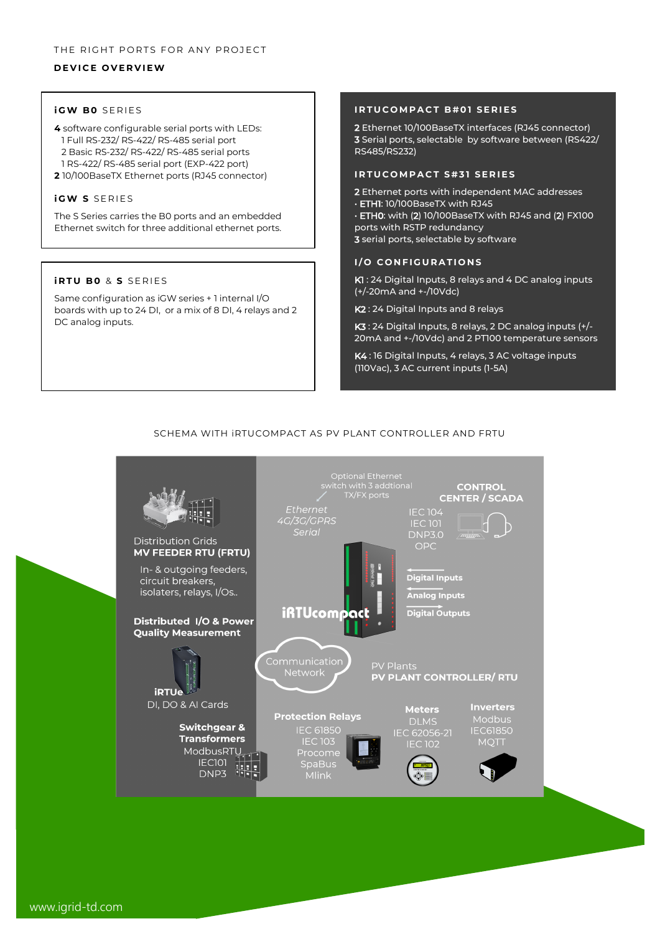## **D E V I C E O V E R V I E W**

### *i* **GW BO** SERIES

- **4** software configurable serial ports with LEDs: 1 Full RS-232/ RS-422/ RS-485 serial port 2 Basic RS-232/ RS-422/ RS-485 serial ports 1 RS-422/ RS-485 serial port (EXP-422 port)
- **2** 10/100BaseTX Ethernet ports (RJ45 connector)

#### *i* **GW S SERIES**

The S Series carries the B0 ports and an embedded Ethernet switch for three additional ethernet ports.

#### *iRTU BO & S SERIES*

Same configuration as iGW series + 1 internal I/O boards with up to 24 DI, or a mix of 8 DI, 4 relays and 2 DC analog inputs.

#### **IRTUCOMPACT B#01 SERIES**

2 Ethernet 10/100BaseTX interfaces (RJ45 connector) 3 Serial ports, selectable by software between (RS422/ RS485/RS232)

#### **IRTUCOMPACT S#31 SERIES**

2 Ethernet ports with independent MAC addresses • ETH1: 10/100BaseTX with RJ45 • ETH0: with (2) 10/100BaseTX with RJ45 and (2) FX100 ports with RSTP redundancy 3 serial ports, selectable by software

## **I/O CONFIGURATIONS**

K1 : 24 Digital Inputs, 8 relays and 4 DC analog inputs (+/-20mA and +-/10Vdc)

K2 : 24 Digital Inputs and 8 relays

K3 : 24 Digital Inputs, 8 relays, 2 DC analog inputs (+/- 20mA and +-/10Vdc) and 2 PT100 temperature sensors

K4 : 16 Digital Inputs, 4 relays, 3 AC voltage inputs (110Vac), 3 AC current inputs (1-5A)

# SCHEMA WITH iRTUCOMPACT AS PV PLANT CONTROLLER AND FRTU